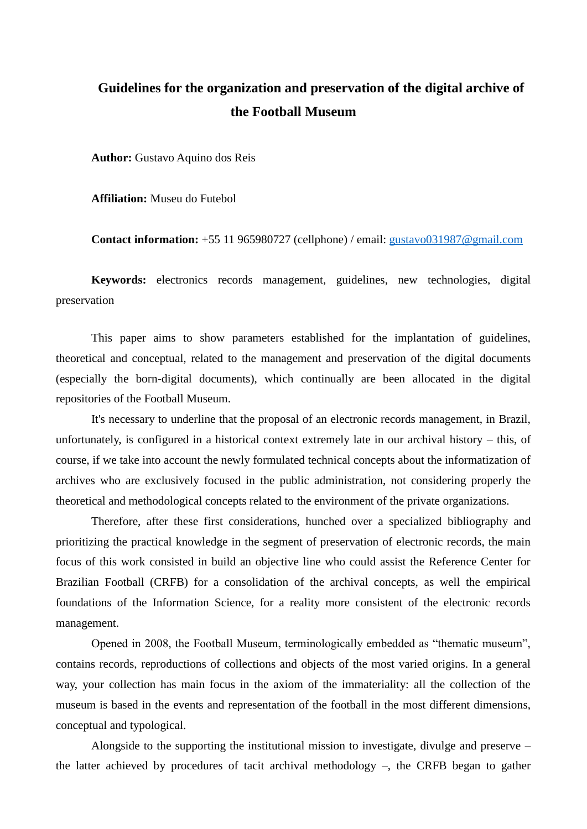## **Guidelines for the organization and preservation of the digital archive of the Football Museum**

**Author:** Gustavo Aquino dos Reis

**Affiliation:** Museu do Futebol

**Contact information:** +55 11 965980727 (cellphone) / email: [gustavo031987@gmail.com](mailto:gustavo031987@gmail.com)

**Keywords:** electronics records management, guidelines, new technologies, digital preservation

This paper aims to show parameters established for the implantation of guidelines, theoretical and conceptual, related to the management and preservation of the digital documents (especially the born-digital documents), which continually are been allocated in the digital repositories of the Football Museum.

It's necessary to underline that the proposal of an electronic records management, in Brazil, unfortunately, is configured in a historical context extremely late in our archival history – this, of course, if we take into account the newly formulated technical concepts about the informatization of archives who are exclusively focused in the public administration, not considering properly the theoretical and methodological concepts related to the environment of the private organizations.

Therefore, after these first considerations, hunched over a specialized bibliography and prioritizing the practical knowledge in the segment of preservation of electronic records, the main focus of this work consisted in build an objective line who could assist the Reference Center for Brazilian Football (CRFB) for a consolidation of the archival concepts, as well the empirical foundations of the Information Science, for a reality more consistent of the electronic records management.

Opened in 2008, the Football Museum, terminologically embedded as "thematic museum", contains records, reproductions of collections and objects of the most varied origins. In a general way, your collection has main focus in the axiom of the immateriality: all the collection of the museum is based in the events and representation of the football in the most different dimensions, conceptual and typological.

Alongside to the supporting the institutional mission to investigate, divulge and preserve – the latter achieved by procedures of tacit archival methodology –, the CRFB began to gather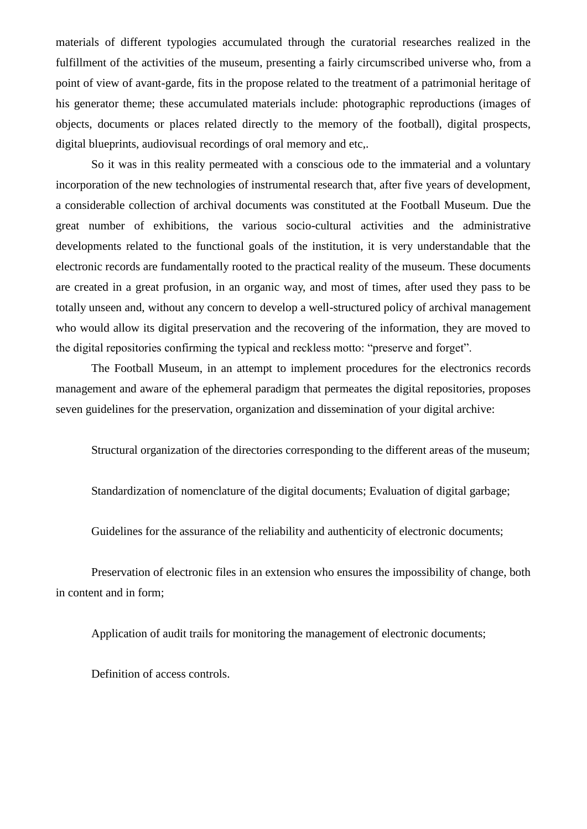materials of different typologies accumulated through the curatorial researches realized in the fulfillment of the activities of the museum, presenting a fairly circumscribed universe who, from a point of view of avant-garde, fits in the propose related to the treatment of a patrimonial heritage of his generator theme; these accumulated materials include: photographic reproductions (images of objects, documents or places related directly to the memory of the football), digital prospects, digital blueprints, audiovisual recordings of oral memory and etc,.

So it was in this reality permeated with a conscious ode to the immaterial and a voluntary incorporation of the new technologies of instrumental research that, after five years of development, a considerable collection of archival documents was constituted at the Football Museum. Due the great number of exhibitions, the various socio-cultural activities and the administrative developments related to the functional goals of the institution, it is very understandable that the electronic records are fundamentally rooted to the practical reality of the museum. These documents are created in a great profusion, in an organic way, and most of times, after used they pass to be totally unseen and, without any concern to develop a well-structured policy of archival management who would allow its digital preservation and the recovering of the information, they are moved to the digital repositories confirming the typical and reckless motto: "preserve and forget".

The Football Museum, in an attempt to implement procedures for the electronics records management and aware of the ephemeral paradigm that permeates the digital repositories, proposes seven guidelines for the preservation, organization and dissemination of your digital archive:

Structural organization of the directories corresponding to the different areas of the museum;

Standardization of nomenclature of the digital documents; Evaluation of digital garbage;

Guidelines for the assurance of the reliability and authenticity of electronic documents;

Preservation of electronic files in an extension who ensures the impossibility of change, both in content and in form;

Application of audit trails for monitoring the management of electronic documents;

Definition of access controls.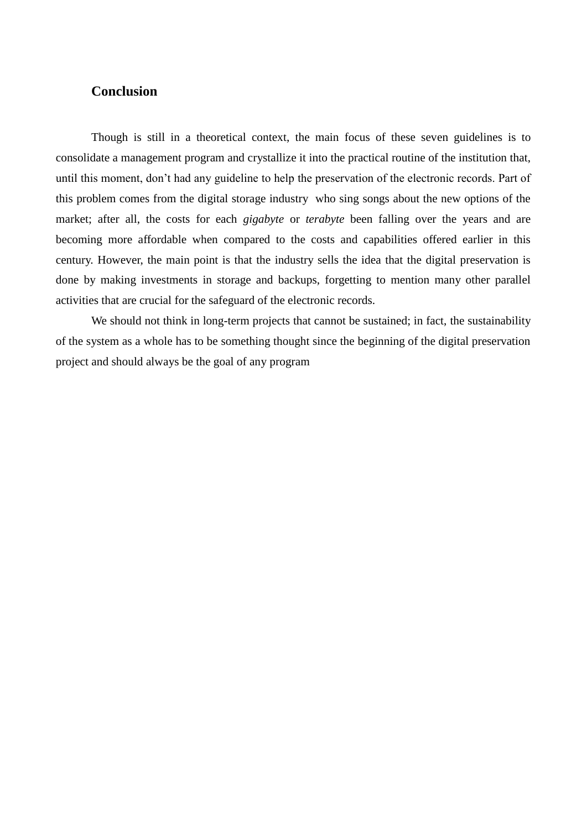## **Conclusion**

Though is still in a theoretical context, the main focus of these seven guidelines is to consolidate a management program and crystallize it into the practical routine of the institution that, until this moment, don't had any guideline to help the preservation of the electronic records. Part of this problem comes from the digital storage industry who sing songs about the new options of the market; after all, the costs for each *gigabyte* or *terabyte* been falling over the years and are becoming more affordable when compared to the costs and capabilities offered earlier in this century. However, the main point is that the industry sells the idea that the digital preservation is done by making investments in storage and backups, forgetting to mention many other parallel activities that are crucial for the safeguard of the electronic records.

We should not think in long-term projects that cannot be sustained; in fact, the sustainability of the system as a whole has to be something thought since the beginning of the digital preservation project and should always be the goal of any program